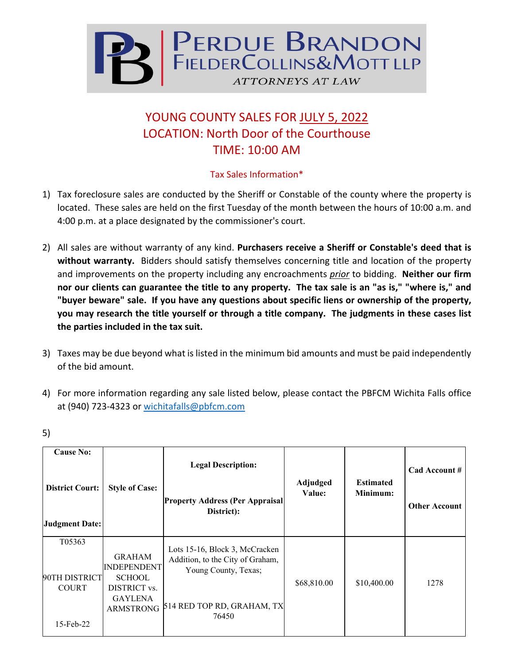

## YOUNG COUNTY SALES FOR JULY 5, 2022 LOCATION: North Door of the Courthouse TIME: 10:00 AM

## Tax Sales Information\*

- 1) Tax foreclosure sales are conducted by the Sheriff or Constable of the county where the property is located. These sales are held on the first Tuesday of the month between the hours of 10:00 a.m. and 4:00 p.m. at a place designated by the commissioner's court.
- 2) All sales are without warranty of any kind. **Purchasers receive a Sheriff or Constable's deed that is without warranty.** Bidders should satisfy themselves concerning title and location of the property and improvements on the property including any encroachments *prior* to bidding. **Neither our firm nor our clients can guarantee the title to any property. The tax sale is an "as is," "where is," and "buyer beware" sale. If you have any questions about specific liens or ownership of the property, you may research the title yourself or through a title company. The judgments in these cases list the parties included in the tax suit.**
- 3) Taxes may be due beyond what is listed in the minimum bid amounts and must be paid independently of the bid amount.
- 4) For more information regarding any sale listed below, please contact the PBFCM Wichita Falls office at (940) 723-4323 or [wichitafalls@pbfcm.com](mailto:wichitafalls@pbfcm.com)

| <b>Cause No:</b><br><b>District Court:</b><br><b>Judgment Date:</b> | <b>Style of Case:</b>                                                                                      | <b>Legal Description:</b><br><b>Property Address (Per Appraisal</b><br>District):                                                 | Adjudged<br>Value: | <b>Estimated</b><br>Minimum: | Cad Account #<br><b>Other Account</b> |
|---------------------------------------------------------------------|------------------------------------------------------------------------------------------------------------|-----------------------------------------------------------------------------------------------------------------------------------|--------------------|------------------------------|---------------------------------------|
| T05363<br>90TH DISTRICT<br><b>COURT</b><br>$15$ -Feb-22             | <b>GRAHAM</b><br><b>INDEPENDENT</b><br><b>SCHOOL</b><br>DISTRICT vs.<br><b>GAYLENA</b><br><b>ARMSTRONG</b> | Lots 15-16, Block 3, McCracken<br>Addition, to the City of Graham,<br>Young County, Texas;<br>514 RED TOP RD, GRAHAM, TX<br>76450 | \$68,810.00        | \$10,400.00                  | 1278                                  |

5)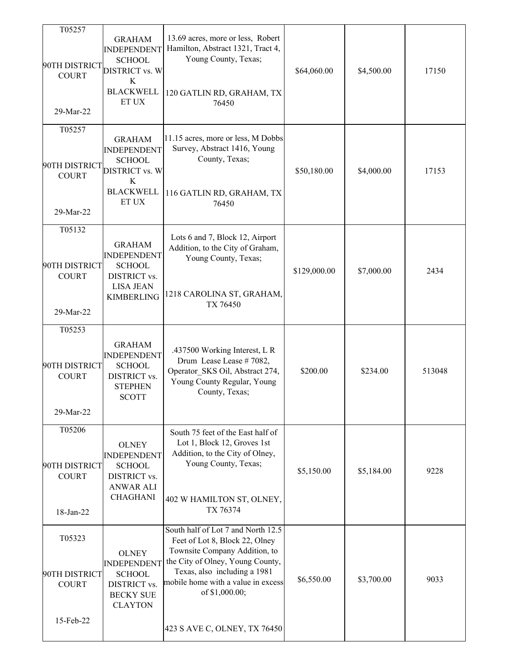| T05257<br>90TH DISTRICT<br><b>COURT</b><br>29-Mar-22 | <b>GRAHAM</b><br><b>INDEPENDENT</b><br><b>SCHOOL</b><br><b>DISTRICT vs. W</b><br>K<br><b>BLACKWELL</b><br>ET UX | 13.69 acres, more or less, Robert<br>Hamilton, Abstract 1321, Tract 4,<br>Young County, Texas;<br>120 GATLIN RD, GRAHAM, TX<br>76450                                                                                                                              | \$64,060.00  | \$4,500.00 | 17150  |
|------------------------------------------------------|-----------------------------------------------------------------------------------------------------------------|-------------------------------------------------------------------------------------------------------------------------------------------------------------------------------------------------------------------------------------------------------------------|--------------|------------|--------|
| T05257<br>90TH DISTRICT<br><b>COURT</b><br>29-Mar-22 | <b>GRAHAM</b><br><b>INDEPENDENT</b><br><b>SCHOOL</b><br><b>DISTRICT vs. W</b><br>K<br><b>BLACKWELL</b><br>ET UX | 11.15 acres, more or less, M Dobbs<br>Survey, Abstract 1416, Young<br>County, Texas;<br>116 GATLIN RD, GRAHAM, TX<br>76450                                                                                                                                        | \$50,180.00  | \$4,000.00 | 17153  |
| T05132<br>90TH DISTRICT<br><b>COURT</b><br>29-Mar-22 | <b>GRAHAM</b><br><b>INDEPENDENT</b><br><b>SCHOOL</b><br>DISTRICT vs.<br><b>LISA JEAN</b><br><b>KIMBERLING</b>   | Lots 6 and 7, Block 12, Airport<br>Addition, to the City of Graham,<br>Young County, Texas;<br>1218 CAROLINA ST, GRAHAM,<br>TX 76450                                                                                                                              | \$129,000.00 | \$7,000.00 | 2434   |
| T05253<br>90TH DISTRICT<br><b>COURT</b><br>29-Mar-22 | <b>GRAHAM</b><br><b>INDEPENDENT</b><br><b>SCHOOL</b><br>DISTRICT vs.<br><b>STEPHEN</b><br><b>SCOTT</b>          | .437500 Working Interest, L R<br>Drum Lease Lease #7082,<br>Operator_SKS Oil, Abstract 274,<br>Young County Regular, Young<br>County, Texas;                                                                                                                      | \$200.00     | \$234.00   | 513048 |
| T05206<br>90TH DISTRICT<br><b>COURT</b><br>18-Jan-22 | <b>OLNEY</b><br><b>INDEPENDENT</b><br><b>SCHOOL</b><br>DISTRICT vs.<br><b>ANWAR ALI</b><br><b>CHAGHANI</b>      | South 75 feet of the East half of<br>Lot 1, Block 12, Groves 1st<br>Addition, to the City of Olney,<br>Young County, Texas;<br>402 W HAMILTON ST, OLNEY,<br>TX 76374                                                                                              | \$5,150.00   | \$5,184.00 | 9228   |
| T05323<br>90TH DISTRICT<br><b>COURT</b><br>15-Feb-22 | <b>OLNEY</b><br><b>INDEPENDENT</b><br><b>SCHOOL</b><br>DISTRICT vs.<br><b>BECKY SUE</b><br><b>CLAYTON</b>       | South half of Lot 7 and North 12.5<br>Feet of Lot 8, Block 22, Olney<br>Townsite Company Addition, to<br>the City of Olney, Young County,<br>Texas, also including a 1981<br>mobile home with a value in excess<br>of \$1,000.00;<br>423 S AVE C, OLNEY, TX 76450 | \$6,550.00   | \$3,700.00 | 9033   |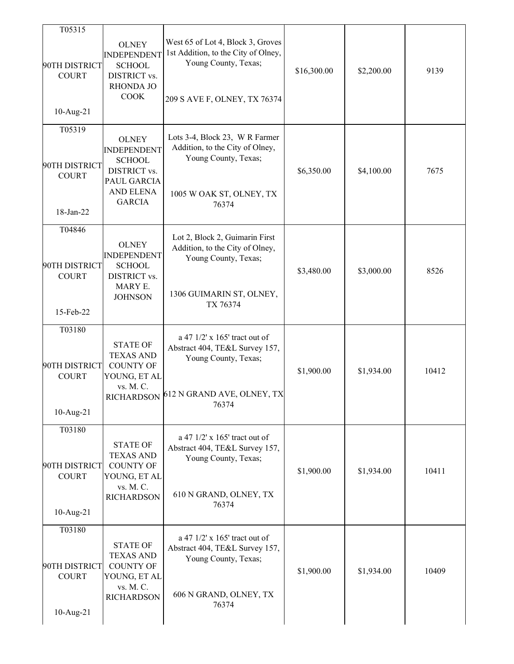| T05315                                                  |                                                                                                                  |                                                                                                                                           |             |            |       |
|---------------------------------------------------------|------------------------------------------------------------------------------------------------------------------|-------------------------------------------------------------------------------------------------------------------------------------------|-------------|------------|-------|
| 90TH DISTRICT<br><b>COURT</b><br>$10$ -Aug-21           | <b>OLNEY</b><br><b>INDEPENDENT</b><br><b>SCHOOL</b><br><b>DISTRICT vs.</b><br>RHONDA JO<br><b>COOK</b>           | West 65 of Lot 4, Block 3, Groves<br>1st Addition, to the City of Olney,<br>Young County, Texas;<br>209 S AVE F, OLNEY, TX 76374          | \$16,300.00 | \$2,200.00 | 9139  |
|                                                         |                                                                                                                  |                                                                                                                                           |             |            |       |
| T05319<br>90TH DISTRICT<br><b>COURT</b><br>18-Jan-22    | <b>OLNEY</b><br><b>INDEPENDENT</b><br><b>SCHOOL</b><br>DISTRICT vs.<br>PAUL GARCIA<br>AND ELENA<br><b>GARCIA</b> | Lots 3-4, Block 23, WR Farmer<br>Addition, to the City of Olney,<br>Young County, Texas;<br>1005 W OAK ST, OLNEY, TX<br>76374             | \$6,350.00  | \$4,100.00 | 7675  |
| T04846<br>90TH DISTRICT<br><b>COURT</b><br>15-Feb-22    | <b>OLNEY</b><br><b>INDEPENDENT</b><br><b>SCHOOL</b><br>DISTRICT vs.<br>MARY E.<br><b>JOHNSON</b>                 | Lot 2, Block 2, Guimarin First<br>Addition, to the City of Olney,<br>Young County, Texas;<br>1306 GUIMARIN ST, OLNEY,<br>TX 76374         | \$3,480.00  | \$3,000.00 | 8526  |
| T03180<br>90TH DISTRICT<br><b>COURT</b><br>$10$ -Aug-21 | <b>STATE OF</b><br><b>TEXAS AND</b><br><b>COUNTY OF</b><br>YOUNG, ET AL<br>vs. M. C.                             | a 47 1/2' x 165' tract out of<br>Abstract 404, TE&L Survey 157,<br>Young County, Texas;<br>RICHARDSON 612 N GRAND AVE, OLNEY, TX<br>76374 | \$1,900.00  | \$1,934.00 | 10412 |
| T03180<br>90TH DISTRICT<br><b>COURT</b><br>$10$ -Aug-21 | <b>STATE OF</b><br><b>TEXAS AND</b><br><b>COUNTY OF</b><br>YOUNG, ET AL<br>vs. M. C.<br><b>RICHARDSON</b>        | a 47 1/2' x 165' tract out of<br>Abstract 404, TE&L Survey 157,<br>Young County, Texas;<br>610 N GRAND, OLNEY, TX<br>76374                | \$1,900.00  | \$1,934.00 | 10411 |
| T03180<br>90TH DISTRICT<br><b>COURT</b><br>$10$ -Aug-21 | <b>STATE OF</b><br><b>TEXAS AND</b><br><b>COUNTY OF</b><br>YOUNG, ET AL<br>vs. M. C.<br><b>RICHARDSON</b>        | a 47 1/2' x 165' tract out of<br>Abstract 404, TE&L Survey 157,<br>Young County, Texas;<br>606 N GRAND, OLNEY, TX<br>76374                | \$1,900.00  | \$1,934.00 | 10409 |